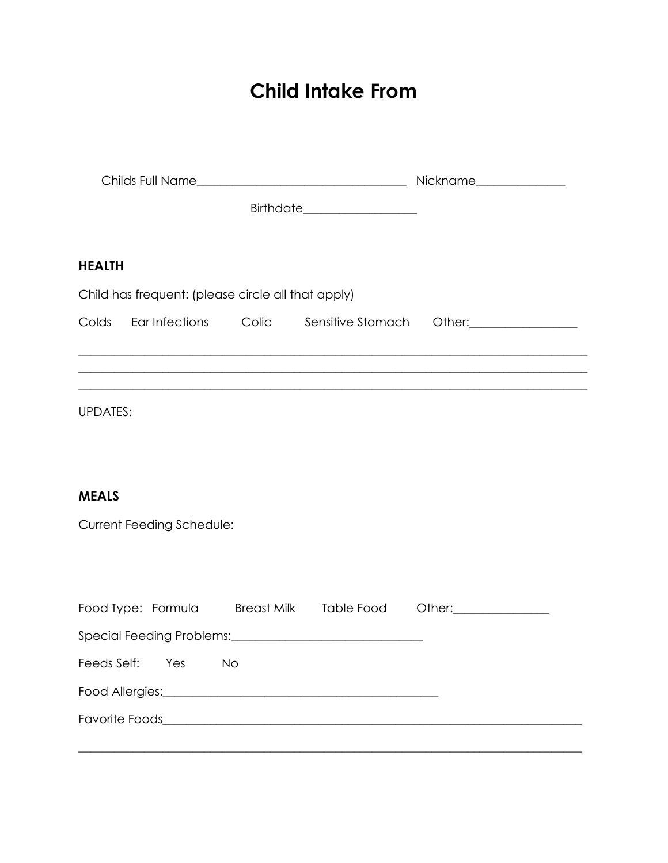# Child Intake From

|                 |                                                    | Birthdate____________________ |                                                                                                                |                                                                                   |
|-----------------|----------------------------------------------------|-------------------------------|----------------------------------------------------------------------------------------------------------------|-----------------------------------------------------------------------------------|
| <b>HEALTH</b>   |                                                    |                               |                                                                                                                |                                                                                   |
|                 | Child has frequent: (please circle all that apply) |                               |                                                                                                                |                                                                                   |
|                 |                                                    |                               |                                                                                                                | Colds Ear Infections Colic Sensitive Stomach Other: Colds Ear Infections Colic    |
|                 |                                                    |                               |                                                                                                                | ,我们也不能在这里的时候,我们也不能在这里的时候,我们也不能会在这里的时候,我们也不能会在这里的时候,我们也不能会在这里的时候,我们也不能会在这里的时候,我们也不 |
| <b>UPDATES:</b> |                                                    |                               |                                                                                                                |                                                                                   |
|                 |                                                    |                               |                                                                                                                |                                                                                   |
| <b>MEALS</b>    |                                                    |                               |                                                                                                                |                                                                                   |
|                 | Current Feeding Schedule:                          |                               |                                                                                                                |                                                                                   |
|                 |                                                    |                               |                                                                                                                |                                                                                   |
|                 |                                                    |                               |                                                                                                                | Food Type: Formula Breast Milk Table Food Other:                                  |
|                 |                                                    |                               |                                                                                                                |                                                                                   |
| Feeds Self:     | Yes                                                | <b>No</b>                     |                                                                                                                |                                                                                   |
|                 |                                                    |                               | Food Allergies: 1999 March 1999 March 1999 March 1999 March 1999 March 1999 March 1999 March 1999 March 1999 M |                                                                                   |
|                 |                                                    |                               |                                                                                                                |                                                                                   |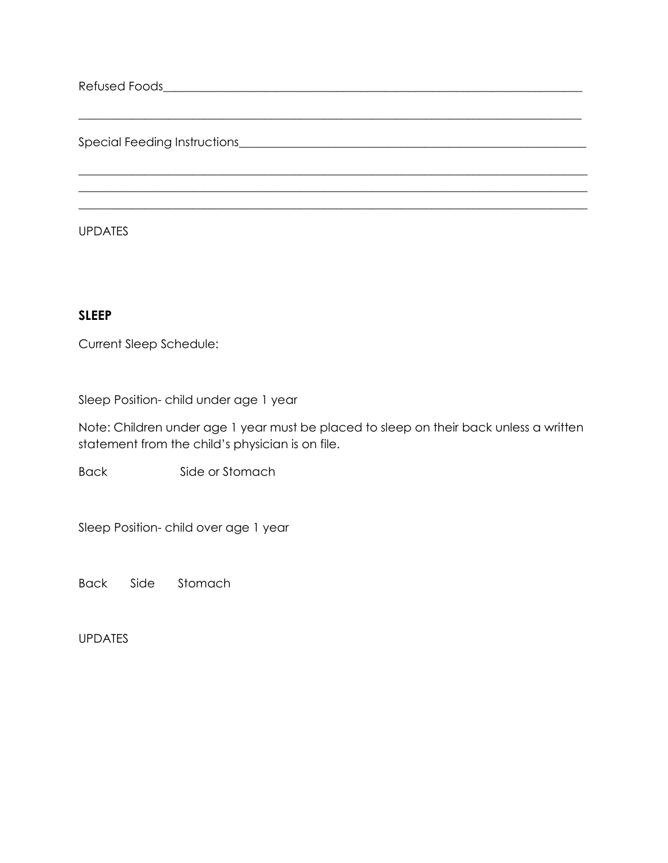Refused Foods\_\_\_\_\_\_\_\_\_\_\_\_\_\_\_\_\_\_\_\_\_\_\_\_\_\_\_\_\_\_\_\_\_\_\_\_\_\_\_\_\_\_\_\_\_\_\_\_\_\_\_\_\_\_\_\_\_\_\_\_\_\_\_\_\_\_\_\_\_\_

Special Feeding Instructions\_\_\_\_\_\_\_\_\_\_\_\_\_\_\_\_\_\_\_\_\_\_\_\_\_\_\_\_\_\_\_\_\_\_\_\_\_\_\_\_\_\_\_\_\_\_\_\_\_\_\_\_\_\_\_\_\_\_

UPDATES

#### SLEEP

Current Sleep Schedule:

Sleep Position- child under age 1 year

Note: Children under age 1 year must be placed to sleep on their back unless a written statement from the child's physician is on file.

\_\_\_\_\_\_\_\_\_\_\_\_\_\_\_\_\_\_\_\_\_\_\_\_\_\_\_\_\_\_\_\_\_\_\_\_\_\_\_\_\_\_\_\_\_\_\_\_\_\_\_\_\_\_\_\_\_\_\_\_\_\_\_\_\_\_\_\_\_\_\_\_\_\_\_\_\_\_\_\_\_\_\_\_

 $\_$  , and the set of the set of the set of the set of the set of the set of the set of the set of the set of the set of the set of the set of the set of the set of the set of the set of the set of the set of the set of th  $\_$  , and the set of the set of the set of the set of the set of the set of the set of the set of the set of the set of the set of the set of the set of the set of the set of the set of the set of the set of the set of th \_\_\_\_\_\_\_\_\_\_\_\_\_\_\_\_\_\_\_\_\_\_\_\_\_\_\_\_\_\_\_\_\_\_\_\_\_\_\_\_\_\_\_\_\_\_\_\_\_\_\_\_\_\_\_\_\_\_\_\_\_\_\_\_\_\_\_\_\_\_\_\_\_\_\_\_\_\_\_\_\_\_\_\_\_

Back Side or Stomach

Sleep Position- child over age 1 year

Back Side Stomach

UPDATES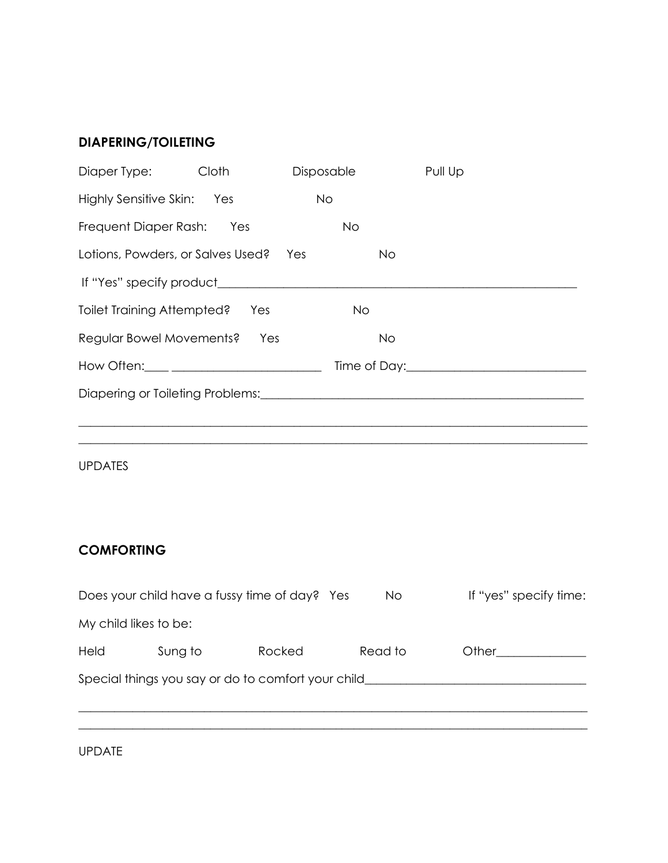### DIAPERING/TOILETING

| Diaper Type:                      | Cloth | Disposable | Pull Up                                                                                   |
|-----------------------------------|-------|------------|-------------------------------------------------------------------------------------------|
| Highly Sensitive Skin: Yes        |       | <b>No</b>  |                                                                                           |
| Frequent Diaper Rash: Yes         |       | <b>No</b>  |                                                                                           |
| Lotions, Powders, or Salves Used? |       | Yes        | <b>No</b>                                                                                 |
|                                   |       |            |                                                                                           |
| Toilet Training Attempted?        | Yes   | No         |                                                                                           |
| Regular Bowel Movements? Yes      |       |            | <b>No</b>                                                                                 |
|                                   |       |            | Time of Day: Time of Day:                                                                 |
|                                   |       |            | Diapering or Toileting Problems: [19] Diapon and Diaponian Control of Toileting Problems: |
|                                   |       |            |                                                                                           |
|                                   |       |            |                                                                                           |

UPDATES

## **COMFORTING**

|                                                    |         | Does your child have a fussy time of day? Yes | <b>No</b> | If "yes" specify time: |  |  |  |
|----------------------------------------------------|---------|-----------------------------------------------|-----------|------------------------|--|--|--|
| My child likes to be:                              |         |                                               |           |                        |  |  |  |
| <b>Held</b>                                        | Sung to | Rocked                                        | Read to   | Other                  |  |  |  |
| Special things you say or do to comfort your child |         |                                               |           |                        |  |  |  |
|                                                    |         |                                               |           |                        |  |  |  |

UPDATE